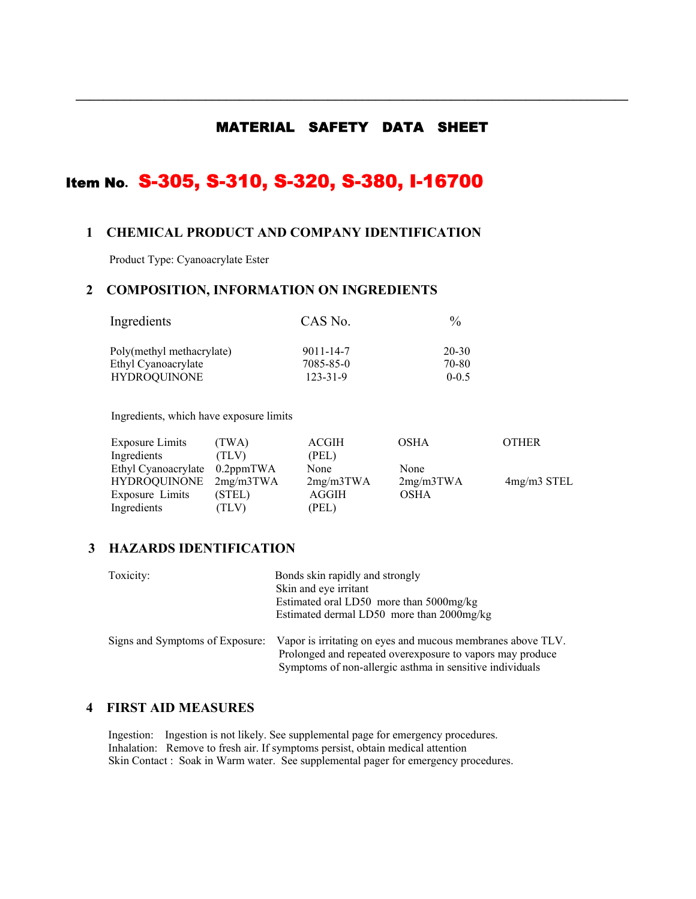## MATERIAL SAFETY DATA SHEET

**\_\_\_\_\_\_\_\_\_\_\_\_\_\_\_\_\_\_\_\_\_\_\_\_\_\_\_\_\_\_\_\_\_\_\_\_\_\_\_\_\_\_\_\_\_\_\_\_\_\_\_\_\_\_\_\_\_\_\_\_\_\_\_\_\_\_\_\_\_\_\_\_\_\_\_\_\_\_\_\_\_** 

# Item No**.** S-305, S-310, S-320, S-380, I-16700

## **1 CHEMICAL PRODUCT AND COMPANY IDENTIFICATION**

Product Type: Cyanoacrylate Ester

## **2 COMPOSITION, INFORMATION ON INGREDIENTS**

| Ingredients               | CAS No.        | $\%$      |  |
|---------------------------|----------------|-----------|--|
| Poly(methyl methacrylate) | 9011-14-7      | 20-30     |  |
| Ethyl Cyanoacrylate       | 7085-85-0      | 70-80     |  |
| <b>HYDROQUINONE</b>       | $123 - 31 - 9$ | $0 - 0.5$ |  |

Ingredients, which have exposure limits

| <b>Exposure Limits</b>        | (TWA)  | ACGIH     | <b>OSHA</b> | <b>OTHER</b>  |
|-------------------------------|--------|-----------|-------------|---------------|
| Ingredients                   | (TLV)  | (PEL)     |             |               |
| Ethyl Cyanoacrylate 0.2ppmTWA |        | None      | None        |               |
| HYDROQUINONE 2mg/m3TWA        |        | 2mg/m3TWA | 2mg/m3TWA   | $4mg/m3$ STEL |
| Exposure Limits               | (STEL) | AGGIH     | <b>OSHA</b> |               |
| Ingredients                   | (TLV)  | (PEL)     |             |               |

## **3 HAZARDS IDENTIFICATION**

| Toxicity:                       | Bonds skin rapidly and strongly<br>Skin and eye irritant<br>Estimated oral LD50 more than 5000mg/kg<br>Estimated dermal LD50 more than 2000mg/kg                                     |
|---------------------------------|--------------------------------------------------------------------------------------------------------------------------------------------------------------------------------------|
| Signs and Symptoms of Exposure: | Vapor is irritating on eyes and mucous membranes above TLV.<br>Prolonged and repeated overexposure to vapors may produce<br>Symptoms of non-allergic asthma in sensitive individuals |

## **4 FIRST AID MEASURES**

Ingestion: Ingestion is not likely. See supplemental page for emergency procedures. Inhalation: Remove to fresh air. If symptoms persist, obtain medical attention Skin Contact : Soak in Warm water. See supplemental pager for emergency procedures.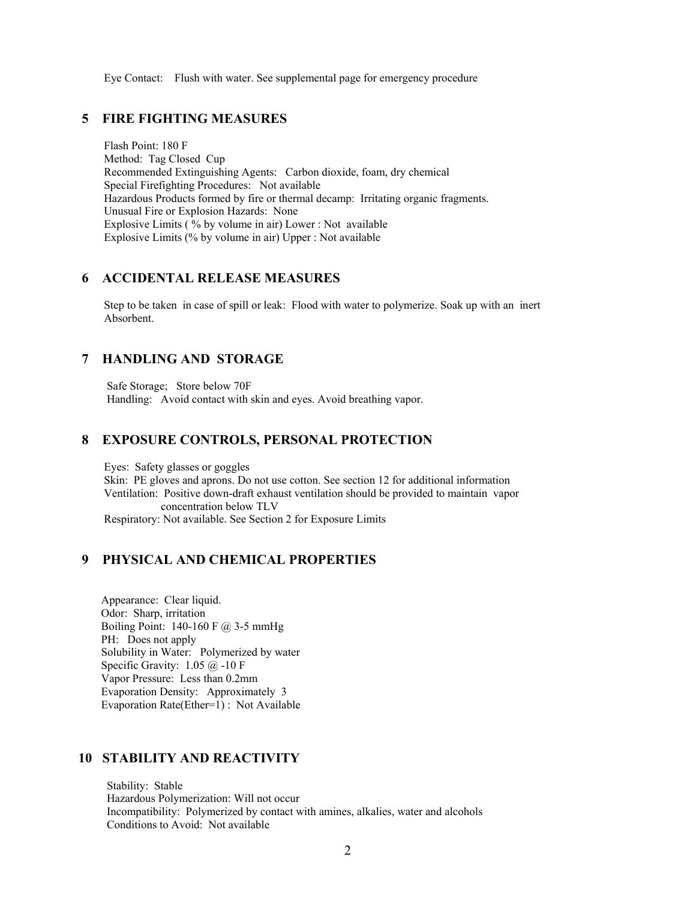Eye Contact: Flush with water. See supplemental page for emergency procedure

## **5 FIRE FIGHTING MEASURES**

 Flash Point: 180 F Method: Tag Closed Cup Recommended Extinguishing Agents: Carbon dioxide, foam, dry chemical Special Firefighting Procedures: Not available Hazardous Products formed by fire or thermal decamp: Irritating organic fragments. Unusual Fire or Explosion Hazards: None Explosive Limits ( % by volume in air) Lower : Not available Explosive Limits (% by volume in air) Upper : Not available

#### **6 ACCIDENTAL RELEASE MEASURES**

 Step to be taken in case of spill or leak: Flood with water to polymerize. Soak up with an inert Absorbent.

## **7 HANDLING AND STORAGE**

 Safe Storage; Store below 70F Handling: Avoid contact with skin and eyes. Avoid breathing vapor.

## **8 EXPOSURE CONTROLS, PERSONAL PROTECTION**

 Eyes: Safety glasses or goggles Skin: PE gloves and aprons. Do not use cotton. See section 12 for additional information Ventilation: Positive down-draft exhaust ventilation should be provided to maintain vapor concentration below TLV Respiratory: Not available. See Section 2 for Exposure Limits

## **9 PHYSICAL AND CHEMICAL PROPERTIES**

 Appearance: Clear liquid. Odor: Sharp, irritation Boiling Point:  $140-160 \text{ F}$  (a) 3-5 mmHg PH: Does not apply Solubility in Water: Polymerized by water Specific Gravity: 1.05 @ -10 F Vapor Pressure: Less than 0.2mm Evaporation Density: Approximately 3 Evaporation Rate(Ether=1) : Not Available

## **10 STABILITY AND REACTIVITY**

 Stability: Stable Hazardous Polymerization: Will not occur Incompatibility: Polymerized by contact with amines, alkalies, water and alcohols Conditions to Avoid: Not available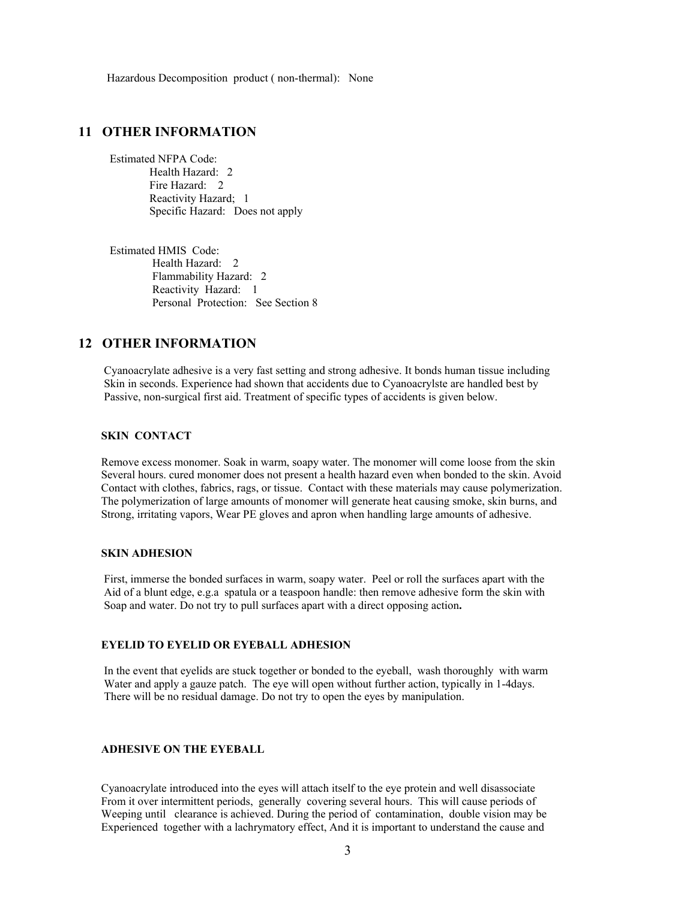Hazardous Decomposition product ( non-thermal): None

## **11 OTHER INFORMATION**

 Estimated NFPA Code: Health Hazard: 2 Fire Hazard: 2 Reactivity Hazard; 1 Specific Hazard: Does not apply

 Estimated HMIS Code: Health Hazard: 2 Flammability Hazard: 2 Reactivity Hazard: 1 Personal Protection: See Section 8

## **12 OTHER INFORMATION**

 Cyanoacrylate adhesive is a very fast setting and strong adhesive. It bonds human tissue including Skin in seconds. Experience had shown that accidents due to Cyanoacrylste are handled best by Passive, non-surgical first aid. Treatment of specific types of accidents is given below.

#### **SKIN CONTACT**

 Remove excess monomer. Soak in warm, soapy water. The monomer will come loose from the skin Several hours. cured monomer does not present a health hazard even when bonded to the skin. Avoid Contact with clothes, fabrics, rags, or tissue. Contact with these materials may cause polymerization. The polymerization of large amounts of monomer will generate heat causing smoke, skin burns, and Strong, irritating vapors, Wear PE gloves and apron when handling large amounts of adhesive.

#### **SKIN ADHESION**

 First, immerse the bonded surfaces in warm, soapy water. Peel or roll the surfaces apart with the Aid of a blunt edge, e.g.a spatula or a teaspoon handle: then remove adhesive form the skin with Soap and water. Do not try to pull surfaces apart with a direct opposing action**.** 

#### **EYELID TO EYELID OR EYEBALL ADHESION**

 In the event that eyelids are stuck together or bonded to the eyeball, wash thoroughly with warm Water and apply a gauze patch. The eye will open without further action, typically in 1-4days. There will be no residual damage. Do not try to open the eyes by manipulation.

#### **ADHESIVE ON THE EYEBALL**

 Cyanoacrylate introduced into the eyes will attach itself to the eye protein and well disassociate From it over intermittent periods, generally covering several hours. This will cause periods of Weeping until clearance is achieved. During the period of contamination, double vision may be Experienced together with a lachrymatory effect, And it is important to understand the cause and